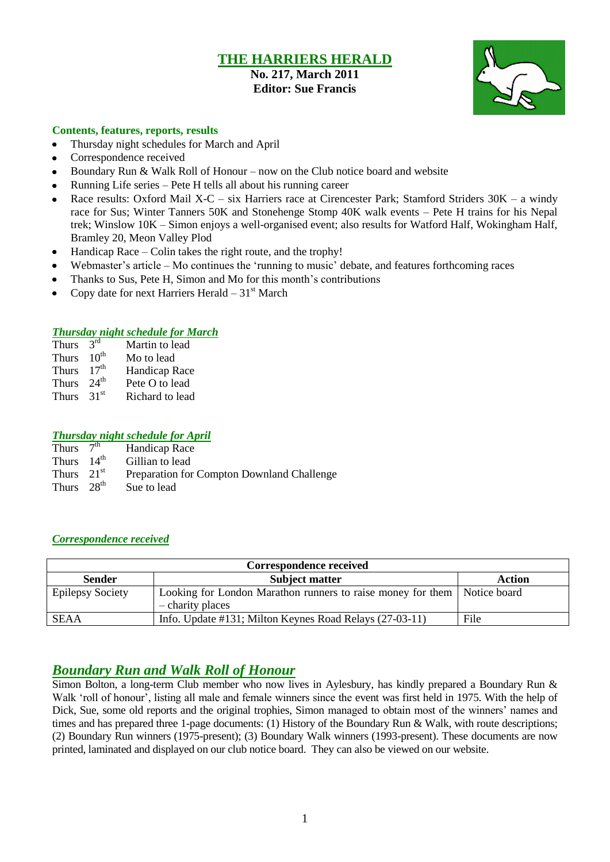# **THE HARRIERS HERALD**

## **No. 217, March 2011 Editor: Sue Francis**



#### **Contents, features, reports, results**

- Thursday night schedules for March and April  $\bullet$
- Correspondence received
- Boundary Run & Walk Roll of Honour now on the Club notice board and website
- Running Life series Pete H tells all about his running career
- Race results: Oxford Mail X-C six Harriers race at Cirencester Park; Stamford Striders 30K a windy race for Sus; Winter Tanners 50K and Stonehenge Stomp 40K walk events – Pete H trains for his Nepal trek; Winslow 10K – Simon enjoys a well-organised event; also results for Watford Half, Wokingham Half, Bramley 20, Meon Valley Plod
- Handicap Race Colin takes the right route, and the trophy!  $\bullet$
- Webmaster's article Mo continues the 'running to music' debate, and features forthcoming races
- Thanks to Sus, Pete H, Simon and Mo for this month's contributions
- Copy date for next Harriers Herald  $-31<sup>st</sup>$  March

#### *Thursday night schedule for March*

| <b>Thurs</b> | $2^{\text{rd}}$  | Martin to lead  |
|--------------|------------------|-----------------|
| <b>Thurs</b> | $10^{\text{th}}$ | Mo to lead      |
| <b>Thurs</b> | 17 <sup>th</sup> | Handicap Race   |
| <b>Thurs</b> | $24^{\text{th}}$ | Pete O to lead  |
| <b>Thurs</b> | 31 <sup>st</sup> | Richard to lead |

#### *Thursday night schedule for April*

| Thurs $7^{\overline{th}}$ | Handicap Race                              |
|---------------------------|--------------------------------------------|
| Thurs $14^{\text{th}}$    | Gillian to lead                            |
| Thurs $21st$              | Preparation for Compton Downland Challenge |
| Thurs $28th$              | Sue to lead                                |

#### *Correspondence received*

| Correspondence received |                                                                          |               |  |  |  |
|-------------------------|--------------------------------------------------------------------------|---------------|--|--|--|
| <b>Sender</b>           | <b>Subject matter</b>                                                    | <b>Action</b> |  |  |  |
| <b>Epilepsy Society</b> | Looking for London Marathon runners to raise money for them Notice board |               |  |  |  |
|                         | - charity places                                                         |               |  |  |  |
| <b>SEAA</b>             | Info. Update #131; Milton Keynes Road Relays (27-03-11)                  | File          |  |  |  |

## *Boundary Run and Walk Roll of Honour*

Simon Bolton, a long-term Club member who now lives in Aylesbury, has kindly prepared a Boundary Run & Walk "roll of honour", listing all male and female winners since the event was first held in 1975. With the help of Dick, Sue, some old reports and the original trophies, Simon managed to obtain most of the winners' names and times and has prepared three 1-page documents: (1) History of the Boundary Run & Walk, with route descriptions; (2) Boundary Run winners (1975-present); (3) Boundary Walk winners (1993-present). These documents are now printed, laminated and displayed on our club notice board. They can also be viewed on our website.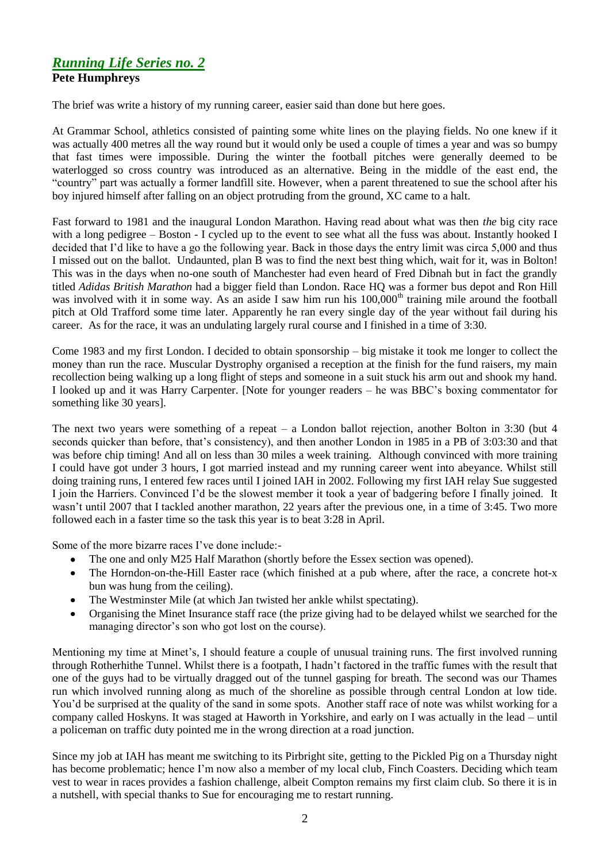## *Running Life Series no. 2* **Pete Humphreys**

The brief was write a history of my running career, easier said than done but here goes.

At Grammar School, athletics consisted of painting some white lines on the playing fields. No one knew if it was actually 400 metres all the way round but it would only be used a couple of times a year and was so bumpy that fast times were impossible. During the winter the football pitches were generally deemed to be waterlogged so cross country was introduced as an alternative. Being in the middle of the east end, the "country" part was actually a former landfill site. However, when a parent threatened to sue the school after his boy injured himself after falling on an object protruding from the ground, XC came to a halt.

Fast forward to 1981 and the inaugural London Marathon. Having read about what was then *the* big city race with a long pedigree – Boston - I cycled up to the event to see what all the fuss was about. Instantly hooked I decided that I"d like to have a go the following year. Back in those days the entry limit was circa 5,000 and thus I missed out on the ballot. Undaunted, plan B was to find the next best thing which, wait for it, was in Bolton! This was in the days when no-one south of Manchester had even heard of Fred Dibnah but in fact the grandly titled *Adidas British Marathon* had a bigger field than London. Race HQ was a former bus depot and Ron Hill was involved with it in some way. As an aside I saw him run his  $100,000<sup>th</sup>$  training mile around the football pitch at Old Trafford some time later. Apparently he ran every single day of the year without fail during his career. As for the race, it was an undulating largely rural course and I finished in a time of 3:30.

Come 1983 and my first London. I decided to obtain sponsorship – big mistake it took me longer to collect the money than run the race. Muscular Dystrophy organised a reception at the finish for the fund raisers, my main recollection being walking up a long flight of steps and someone in a suit stuck his arm out and shook my hand. I looked up and it was Harry Carpenter. [Note for younger readers – he was BBC"s boxing commentator for something like 30 years].

The next two years were something of a repeat – a London ballot rejection, another Bolton in 3:30 (but 4 seconds quicker than before, that's consistency), and then another London in 1985 in a PB of 3:03:30 and that was before chip timing! And all on less than 30 miles a week training. Although convinced with more training I could have got under 3 hours, I got married instead and my running career went into abeyance. Whilst still doing training runs, I entered few races until I joined IAH in 2002. Following my first IAH relay Sue suggested I join the Harriers. Convinced I"d be the slowest member it took a year of badgering before I finally joined. It wasn't until 2007 that I tackled another marathon, 22 years after the previous one, in a time of 3:45. Two more followed each in a faster time so the task this year is to beat 3:28 in April.

Some of the more bizarre races I"ve done include:-

- The one and only M25 Half Marathon (shortly before the Essex section was opened).  $\bullet$
- The Horndon-on-the-Hill Easter race (which finished at a pub where, after the race, a concrete hot-x bun was hung from the ceiling).
- The Westminster Mile (at which Jan twisted her ankle whilst spectating).
- Organising the Minet Insurance staff race (the prize giving had to be delayed whilst we searched for the managing director's son who got lost on the course).

Mentioning my time at Minet"s, I should feature a couple of unusual training runs. The first involved running through Rotherhithe Tunnel. Whilst there is a footpath, I hadn"t factored in the traffic fumes with the result that one of the guys had to be virtually dragged out of the tunnel gasping for breath. The second was our Thames run which involved running along as much of the shoreline as possible through central London at low tide. You"d be surprised at the quality of the sand in some spots. Another staff race of note was whilst working for a company called Hoskyns. It was staged at Haworth in Yorkshire, and early on I was actually in the lead – until a policeman on traffic duty pointed me in the wrong direction at a road junction.

Since my job at IAH has meant me switching to its Pirbright site, getting to the Pickled Pig on a Thursday night has become problematic; hence I'm now also a member of my local club, Finch Coasters. Deciding which team vest to wear in races provides a fashion challenge, albeit Compton remains my first claim club. So there it is in a nutshell, with special thanks to Sue for encouraging me to restart running.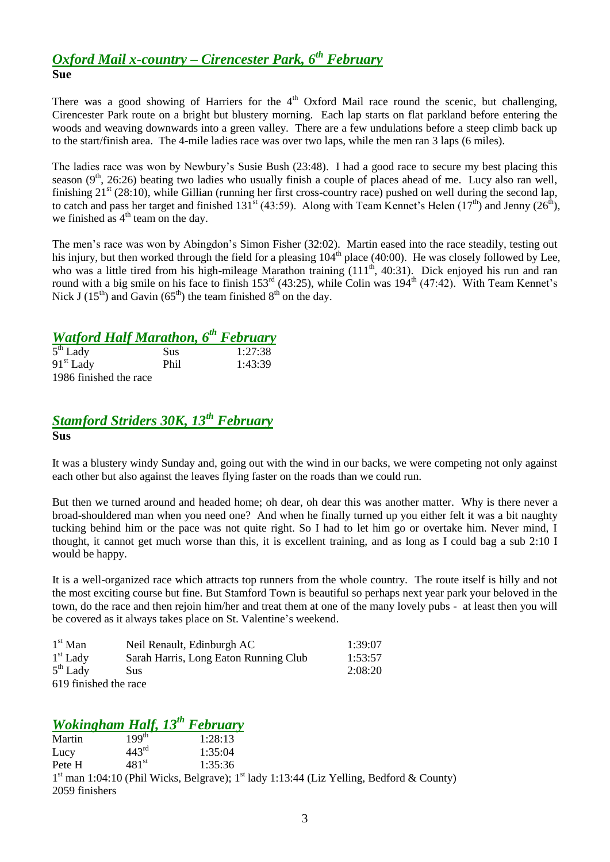## *Oxford Mail x-country – Cirencester Park, 6th February* **Sue**

There was a good showing of Harriers for the  $4<sup>th</sup>$  Oxford Mail race round the scenic, but challenging, Cirencester Park route on a bright but blustery morning. Each lap starts on flat parkland before entering the woods and weaving downwards into a green valley. There are a few undulations before a steep climb back up to the start/finish area. The 4-mile ladies race was over two laps, while the men ran 3 laps (6 miles).

The ladies race was won by Newbury's Susie Bush (23:48). I had a good race to secure my best placing this season  $(9<sup>th</sup>, 26:26)$  beating two ladies who usually finish a couple of places ahead of me. Lucy also ran well, finishing  $21<sup>st</sup>$  (28:10), while Gillian (running her first cross-country race) pushed on well during the second lap, to catch and pass her target and finished 131<sup>st</sup> (43:59). Along with Team Kennet's Helen (17<sup>th</sup>) and Jenny (26<sup>th</sup>), we finished as  $4<sup>th</sup>$  team on the day.

The men"s race was won by Abingdon"s Simon Fisher (32:02). Martin eased into the race steadily, testing out his injury, but then worked through the field for a pleasing  $104<sup>th</sup>$  place (40:00). He was closely followed by Lee, who was a little tired from his high-mileage Marathon training (111<sup>th</sup>, 40:31). Dick enjoyed his run and ran round with a big smile on his face to finish  $153^{rd}$  (43:25), while Colin was  $194^{th}$  (47:42). With Team Kennet's Nick J (15<sup>th</sup>) and Gavin (65<sup>th</sup>) the team finished  $8<sup>th</sup>$  on the day.

# *Watford Half Marathon, 6th February*

| $5th$ Lady             | <b>Sus</b> | 1:27:38 |
|------------------------|------------|---------|
| $91st$ Lady            | Phil       | 1:43:39 |
| 1986 finished the race |            |         |

## *Stamford Striders 30K, 13th February* **Sus**

It was a blustery windy Sunday and, going out with the wind in our backs, we were competing not only against each other but also against the leaves flying faster on the roads than we could run.

But then we turned around and headed home; oh dear, oh dear this was another matter. Why is there never a broad-shouldered man when you need one? And when he finally turned up you either felt it was a bit naughty tucking behind him or the pace was not quite right. So I had to let him go or overtake him. Never mind, I thought, it cannot get much worse than this, it is excellent training, and as long as I could bag a sub 2:10 I would be happy.

It is a well-organized race which attracts top runners from the whole country. The route itself is hilly and not the most exciting course but fine. But Stamford Town is beautiful so perhaps next year park your beloved in the town, do the race and then rejoin him/her and treat them at one of the many lovely pubs - at least then you will be covered as it always takes place on St. Valentine's weekend.

| $1st$ Man             | Neil Renault, Edinburgh AC            | 1:39:07 |
|-----------------------|---------------------------------------|---------|
| $1st$ Lady            | Sarah Harris, Long Eaton Running Club | 1:53:57 |
| $5th$ Lady            | Sus                                   | 2:08:20 |
| 610 finished the room |                                       |         |

619 finished the race

# *Wokingham Half, 13th February*

Martin 199<sup>th</sup> 1:28:13<br>Lucy 443<sup>rd</sup> 1:35:04 Lucy  $443^{\text{rd}}$  1:35:04 Pete H  $481^{st}$  1:35:36 1<sup>st</sup> man 1:04:10 (Phil Wicks, Belgrave); 1<sup>st</sup> lady 1:13:44 (Liz Yelling, Bedford & County) 2059 finishers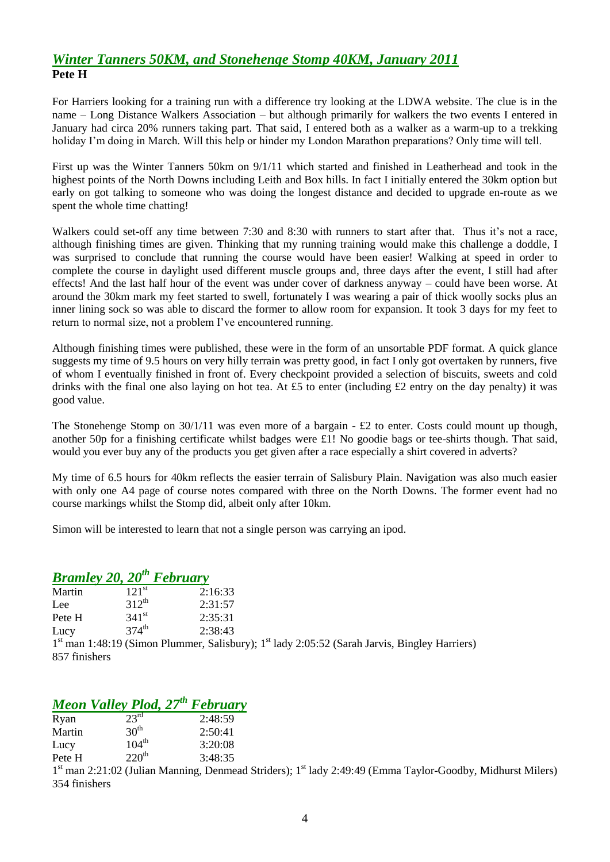## *Winter Tanners 50KM, and Stonehenge Stomp 40KM, January 2011* **Pete H**

For Harriers looking for a training run with a difference try looking at the LDWA website. The clue is in the name – Long Distance Walkers Association – but although primarily for walkers the two events I entered in January had circa 20% runners taking part. That said, I entered both as a walker as a warm-up to a trekking holiday I'm doing in March. Will this help or hinder my London Marathon preparations? Only time will tell.

First up was the Winter Tanners 50km on 9/1/11 which started and finished in Leatherhead and took in the highest points of the North Downs including Leith and Box hills. In fact I initially entered the 30km option but early on got talking to someone who was doing the longest distance and decided to upgrade en-route as we spent the whole time chatting!

Walkers could set-off any time between 7:30 and 8:30 with runners to start after that. Thus it's not a race, although finishing times are given. Thinking that my running training would make this challenge a doddle, I was surprised to conclude that running the course would have been easier! Walking at speed in order to complete the course in daylight used different muscle groups and, three days after the event, I still had after effects! And the last half hour of the event was under cover of darkness anyway – could have been worse. At around the 30km mark my feet started to swell, fortunately I was wearing a pair of thick woolly socks plus an inner lining sock so was able to discard the former to allow room for expansion. It took 3 days for my feet to return to normal size, not a problem I've encountered running.

Although finishing times were published, these were in the form of an unsortable PDF format. A quick glance suggests my time of 9.5 hours on very hilly terrain was pretty good, in fact I only got overtaken by runners, five of whom I eventually finished in front of. Every checkpoint provided a selection of biscuits, sweets and cold drinks with the final one also laying on hot tea. At £5 to enter (including £2 entry on the day penalty) it was good value.

The Stonehenge Stomp on  $30/1/11$  was even more of a bargain - £2 to enter. Costs could mount up though, another 50p for a finishing certificate whilst badges were £1! No goodie bags or tee-shirts though. That said, would you ever buy any of the products you get given after a race especially a shirt covered in adverts?

My time of 6.5 hours for 40km reflects the easier terrain of Salisbury Plain. Navigation was also much easier with only one A4 page of course notes compared with three on the North Downs. The former event had no course markings whilst the Stomp did, albeit only after 10km.

Simon will be interested to learn that not a single person was carrying an ipod.

## *Bramley 20, 20th February*

| Martin | $121$ <sup>st</sup> | 2:16:33 |                                                                                                                       |
|--------|---------------------|---------|-----------------------------------------------------------------------------------------------------------------------|
| Lee    | $312^{th}$          | 2:31:57 |                                                                                                                       |
| Pete H | 341 <sup>st</sup>   | 2:35:31 |                                                                                                                       |
| Lucy   | $374^{th}$          | 2:38:43 |                                                                                                                       |
|        |                     |         | 1 <sup>st</sup> man 1:48:19 (Simon Plummer, Salisbury); 1 <sup>st</sup> lady 2:05:52 (Sarah Jarvis, Bingley Harriers) |

857 finishers

# *Meon Valley Plod, 27th February*

| Ryan   | 23 <sup>rd</sup>  | 2:48:59 |
|--------|-------------------|---------|
| Martin | 30 <sup>th</sup>  | 2:50:41 |
| Lucy   | $104^{\text{th}}$ | 3:20:08 |
| Pete H | 220 <sup>th</sup> | 3:48:35 |

1<sup>st</sup> man 2:21:02 (Julian Manning, Denmead Striders); 1<sup>st</sup> lady 2:49:49 (Emma Taylor-Goodby, Midhurst Milers) 354 finishers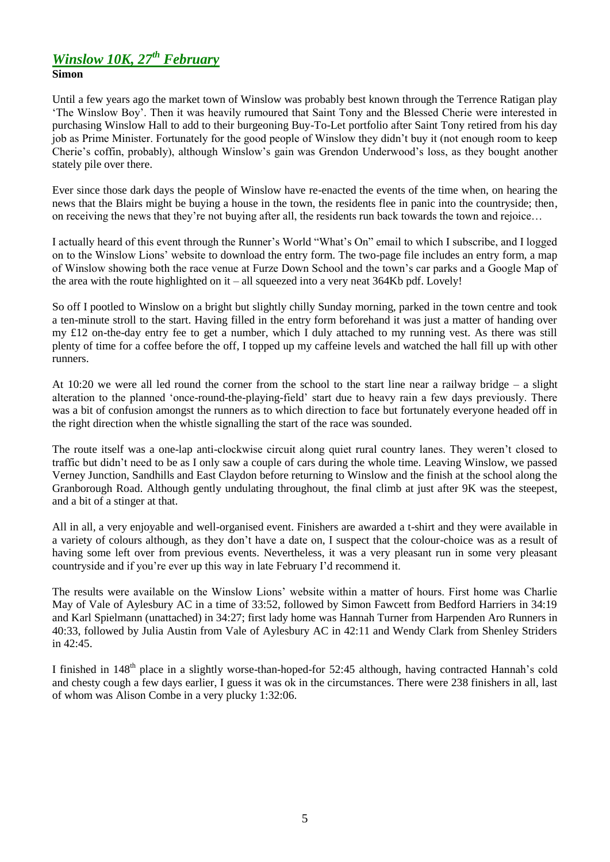# *Winslow 10K, 27th February*

### **Simon**

Until a few years ago the market town of Winslow was probably best known through the Terrence Ratigan play "The Winslow Boy". Then it was heavily rumoured that Saint Tony and the Blessed Cherie were interested in purchasing Winslow Hall to add to their burgeoning Buy-To-Let portfolio after Saint Tony retired from his day job as Prime Minister. Fortunately for the good people of Winslow they didn"t buy it (not enough room to keep Cherie"s coffin, probably), although Winslow"s gain was Grendon Underwood"s loss, as they bought another stately pile over there.

Ever since those dark days the people of Winslow have re-enacted the events of the time when, on hearing the news that the Blairs might be buying a house in the town, the residents flee in panic into the countryside; then, on receiving the news that they"re not buying after all, the residents run back towards the town and rejoice…

I actually heard of this event through the Runner"s World "What"s On" email to which I subscribe, and I logged on to the Winslow Lions" website to download the entry form. The two-page file includes an entry form, a map of Winslow showing both the race venue at Furze Down School and the town"s car parks and a Google Map of the area with the route highlighted on it – all squeezed into a very neat 364Kb pdf. Lovely!

So off I pootled to Winslow on a bright but slightly chilly Sunday morning, parked in the town centre and took a ten-minute stroll to the start. Having filled in the entry form beforehand it was just a matter of handing over my £12 on-the-day entry fee to get a number, which I duly attached to my running vest. As there was still plenty of time for a coffee before the off, I topped up my caffeine levels and watched the hall fill up with other runners.

At 10:20 we were all led round the corner from the school to the start line near a railway bridge – a slight alteration to the planned "once-round-the-playing-field" start due to heavy rain a few days previously. There was a bit of confusion amongst the runners as to which direction to face but fortunately everyone headed off in the right direction when the whistle signalling the start of the race was sounded.

The route itself was a one-lap anti-clockwise circuit along quiet rural country lanes. They weren"t closed to traffic but didn"t need to be as I only saw a couple of cars during the whole time. Leaving Winslow, we passed Verney Junction, Sandhills and East Claydon before returning to Winslow and the finish at the school along the Granborough Road. Although gently undulating throughout, the final climb at just after 9K was the steepest, and a bit of a stinger at that.

All in all, a very enjoyable and well-organised event. Finishers are awarded a t-shirt and they were available in a variety of colours although, as they don"t have a date on, I suspect that the colour-choice was as a result of having some left over from previous events. Nevertheless, it was a very pleasant run in some very pleasant countryside and if you"re ever up this way in late February I"d recommend it.

The results were available on the Winslow Lions" website within a matter of hours. First home was Charlie May of Vale of Aylesbury AC in a time of 33:52, followed by Simon Fawcett from Bedford Harriers in 34:19 and Karl Spielmann (unattached) in 34:27; first lady home was Hannah Turner from Harpenden Aro Runners in 40:33, followed by Julia Austin from Vale of Aylesbury AC in 42:11 and Wendy Clark from Shenley Striders in 42:45.

I finished in 148<sup>th</sup> place in a slightly worse-than-hoped-for 52:45 although, having contracted Hannah's cold and chesty cough a few days earlier, I guess it was ok in the circumstances. There were 238 finishers in all, last of whom was Alison Combe in a very plucky 1:32:06.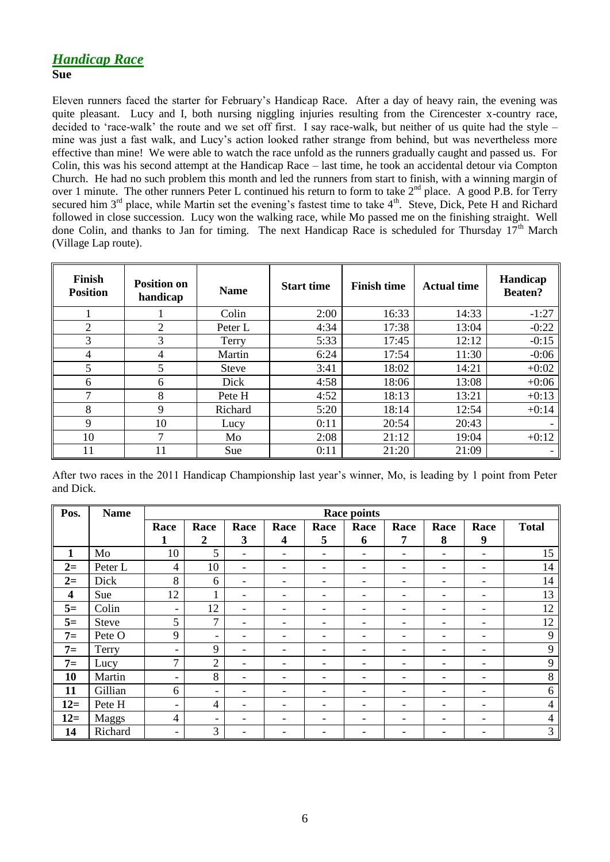### *Handicap Race* **Sue**

Eleven runners faced the starter for February"s Handicap Race. After a day of heavy rain, the evening was quite pleasant. Lucy and I, both nursing niggling injuries resulting from the Cirencester x-country race, decided to 'race-walk' the route and we set off first. I say race-walk, but neither of us quite had the style – mine was just a fast walk, and Lucy's action looked rather strange from behind, but was nevertheless more effective than mine! We were able to watch the race unfold as the runners gradually caught and passed us. For Colin, this was his second attempt at the Handicap Race – last time, he took an accidental detour via Compton Church. He had no such problem this month and led the runners from start to finish, with a winning margin of over 1 minute. The other runners Peter L continued his return to form to take  $2<sup>nd</sup>$  place. A good P.B. for Terry secured him  $3<sup>rd</sup>$  place, while Martin set the evening's fastest time to take  $4<sup>th</sup>$ . Steve, Dick, Pete H and Richard followed in close succession. Lucy won the walking race, while Mo passed me on the finishing straight. Well done Colin, and thanks to Jan for timing. The next Handicap Race is scheduled for Thursday 17<sup>th</sup> March (Village Lap route).

| Finish<br><b>Position</b> | <b>Position on</b><br>handicap | <b>Name</b>  | <b>Start time</b> | <b>Finish time</b> | <b>Actual time</b> | Handicap<br><b>Beaten?</b> |
|---------------------------|--------------------------------|--------------|-------------------|--------------------|--------------------|----------------------------|
|                           |                                | Colin        | 2:00              | 16:33              | 14:33              | $-1:27$                    |
| $\overline{2}$            | 2                              | Peter L      | 4:34              | 17:38              | 13:04              | $-0:22$                    |
| 3                         | 3                              | Terry        | 5:33              | 17:45              | 12:12              | $-0:15$                    |
| 4                         | 4                              | Martin       | 6:24              | 17:54              | 11:30              | $-0:06$                    |
| 5                         | 5                              | <b>Steve</b> | 3:41              | 18:02              | 14:21              | $+0:02$                    |
| 6                         | 6                              | Dick         | 4:58              | 18:06              | 13:08              | $+0:06$                    |
| ⇁                         | 8                              | Pete H       | 4:52              | 18:13              | 13:21              | $+0:13$                    |
| 8                         | 9                              | Richard      | 5:20              | 18:14              | 12:54              | $+0:14$                    |
| 9                         | 10                             | Lucy         | 0:11              | 20:54              | 20:43              |                            |
| 10                        | 7                              | Mo           | 2:08              | 21:12              | 19:04              | $+0:12$                    |
| 11                        | 11                             | Sue          | 0:11              | 21:20              | 21:09              | -                          |

After two races in the 2011 Handicap Championship last year"s winner, Mo, is leading by 1 point from Peter and Dick.

| Pos.         | <b>Name</b>  |                          | <b>Race points</b>       |                          |                          |                          |      |      |      |                          |              |
|--------------|--------------|--------------------------|--------------------------|--------------------------|--------------------------|--------------------------|------|------|------|--------------------------|--------------|
|              |              | Race                     | Race                     | Race                     | Race                     | Race                     | Race | Race | Race | Race                     | <b>Total</b> |
|              |              | 1                        | 2                        | 3                        | 4                        | 5                        | 6    | 7    | 8    | 9                        |              |
| $\mathbf{1}$ | Mo           | 10                       | 5                        | $\overline{\phantom{0}}$ | $\overline{\phantom{a}}$ | $\overline{\phantom{0}}$ |      |      | ۰    | $\overline{\phantom{a}}$ | 15           |
| $2=$         | Peter L      | $\overline{4}$           | 10                       | $\overline{\phantom{0}}$ |                          | $\overline{\phantom{0}}$ |      |      | ۰    | $\overline{\phantom{a}}$ | 14           |
| $2=$         | Dick         | 8                        | 6                        | -                        |                          | -                        |      |      | ۰    | $\overline{\phantom{a}}$ | 14           |
| 4            | Sue          | 12                       | 1<br>1                   | -                        | $\overline{\phantom{0}}$ | -                        |      | -    | ۰    | $\overline{\phantom{a}}$ | 13           |
| $5=$         | Colin        | $\overline{\phantom{a}}$ | 12                       | $\overline{\phantom{0}}$ | ۰                        | -                        |      |      | ۰    | $\overline{\phantom{a}}$ | 12           |
| $5=$         | <b>Steve</b> | 5                        | 7                        | $\overline{\phantom{0}}$ | ۰                        |                          |      |      | ۰    | $\overline{\phantom{a}}$ | 12           |
| $7=$         | Pete O       | 9                        | -                        | $\overline{\phantom{0}}$ | $\qquad \qquad -$        | -                        |      |      | ۰    | $\overline{\phantom{a}}$ | 9            |
| $7=$         | Terry        | $\overline{\phantom{a}}$ | 9                        | -                        | $\overline{\phantom{0}}$ |                          |      |      | ۰    | -                        | 9            |
| $7=$         | Lucy         | $\overline{7}$           | $\overline{2}$           | -                        | ۰                        | -                        |      | -    | ۰    | $\overline{\phantom{a}}$ | 9            |
| 10           | Martin       | $\overline{\phantom{a}}$ | 8                        | -                        |                          |                          |      |      | ۰    | $\overline{\phantom{a}}$ | 8            |
| 11           | Gillian      | 6                        | $\overline{\phantom{0}}$ | -                        | ۰                        | -                        |      | -    | ۰    | $\overline{\phantom{a}}$ | 6            |
| $12=$        | Pete H       | $\overline{\phantom{a}}$ | $\overline{4}$           | -                        | -                        | $\overline{\phantom{0}}$ | ۰    |      | ۰    | -                        | 4            |
| $12=$        | Maggs        | $\overline{4}$           | $\overline{\phantom{0}}$ | -                        | $\overline{\phantom{0}}$ | -                        |      |      | ۰    | $\overline{\phantom{a}}$ | 4            |
| 14           | Richard      | $\overline{\phantom{a}}$ | 3                        |                          |                          |                          |      |      |      | -                        | 3            |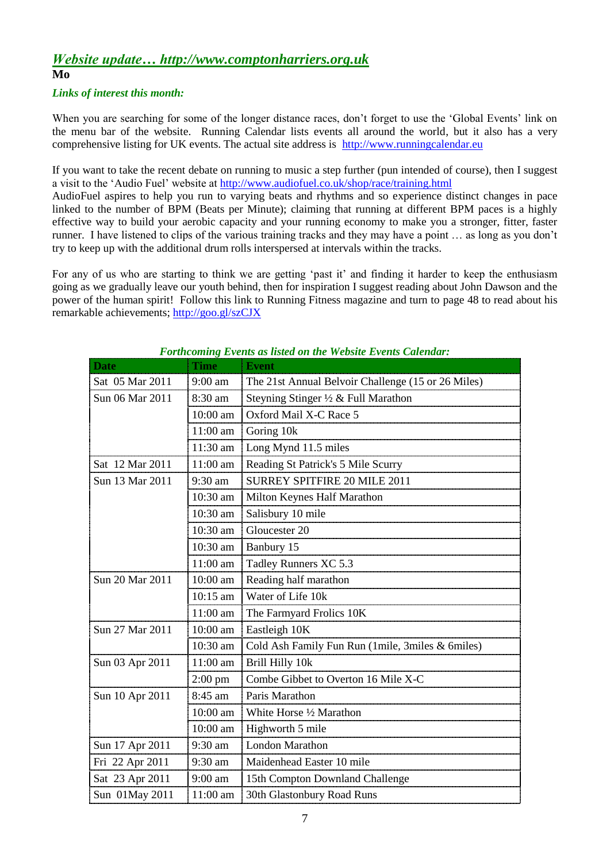## *Website update… http://www.comptonharriers.org.uk* **Mo**

#### *Links of interest this month:*

When you are searching for some of the longer distance races, don't forget to use the 'Global Events' link on the menu bar of the website. Running Calendar lists events all around the world, but it also has a very comprehensive listing for UK events. The actual site address is [http://www.runningcalendar.eu](http://www.runningcalendar.eu/)

If you want to take the recent debate on running to music a step further (pun intended of course), then I suggest a visit to the "Audio Fuel" website at<http://www.audiofuel.co.uk/shop/race/training.html>

AudioFuel aspires to help you run to varying beats and rhythms and so experience distinct changes in pace linked to the number of BPM (Beats per Minute); claiming that running at different BPM paces is a highly effective way to build your aerobic capacity and your running economy to make you a stronger, fitter, faster runner. I have listened to clips of the various training tracks and they may have a point … as long as you don"t try to keep up with the additional drum rolls interspersed at intervals within the tracks.

For any of us who are starting to think we are getting 'past it' and finding it harder to keep the enthusiasm going as we gradually leave our youth behind, then for inspiration I suggest reading about John Dawson and the power of the human spirit! Follow this link to Running Fitness magazine and turn to page 48 to read about his remarkable achievements;<http://goo.gl/szCJX>

| <b>Date</b>     | <b>Time</b>       | <b>Event</b>                                       |
|-----------------|-------------------|----------------------------------------------------|
| Sat 05 Mar 2011 | 9:00 am           | The 21st Annual Belvoir Challenge (15 or 26 Miles) |
| Sun 06 Mar 2011 | 8:30 am           | Steyning Stinger 1/2 & Full Marathon               |
|                 | 10:00 am          | Oxford Mail X-C Race 5                             |
|                 | 11:00 am          | Goring 10k                                         |
|                 | 11:30 am          | Long Mynd 11.5 miles                               |
| Sat 12 Mar 2011 | $11:00$ am        | Reading St Patrick's 5 Mile Scurry                 |
| Sun 13 Mar 2011 | 9:30 am           | SURREY SPITFIRE 20 MILE 2011                       |
|                 | 10:30 am          | Milton Keynes Half Marathon                        |
|                 | 10:30 am          | Salisbury 10 mile                                  |
|                 | $10:30$ am        | Gloucester 20                                      |
|                 | 10:30 am          | Banbury 15                                         |
|                 | 11:00 am          | Tadley Runners XC 5.3                              |
| Sun 20 Mar 2011 | 10:00 am          | Reading half marathon                              |
|                 | $10:15$ am        | Water of Life 10k                                  |
|                 | 11:00 am          | The Farmyard Frolics 10K                           |
| Sun 27 Mar 2011 | 10:00 am          | Eastleigh 10K                                      |
|                 | 10:30 am          | Cold Ash Family Fun Run (1mile, 3miles & 6miles)   |
| Sun 03 Apr 2011 | 11:00 am          | Brill Hilly 10k                                    |
|                 | $2:00 \text{ pm}$ | Combe Gibbet to Overton 16 Mile X-C                |
| Sun 10 Apr 2011 | 8:45 am           | Paris Marathon                                     |
|                 | 10:00 am          | White Horse 1/2 Marathon                           |
|                 | 10:00 am          | Highworth 5 mile                                   |
| Sun 17 Apr 2011 | 9:30 am           | <b>London Marathon</b>                             |
| Fri 22 Apr 2011 | 9:30 am           | Maidenhead Easter 10 mile                          |
| Sat 23 Apr 2011 | 9:00 am           | 15th Compton Downland Challenge                    |
| Sun 01May 2011  | 11:00 am          | 30th Glastonbury Road Runs                         |

*Forthcoming Events as listed on the Website Events Calendar:*